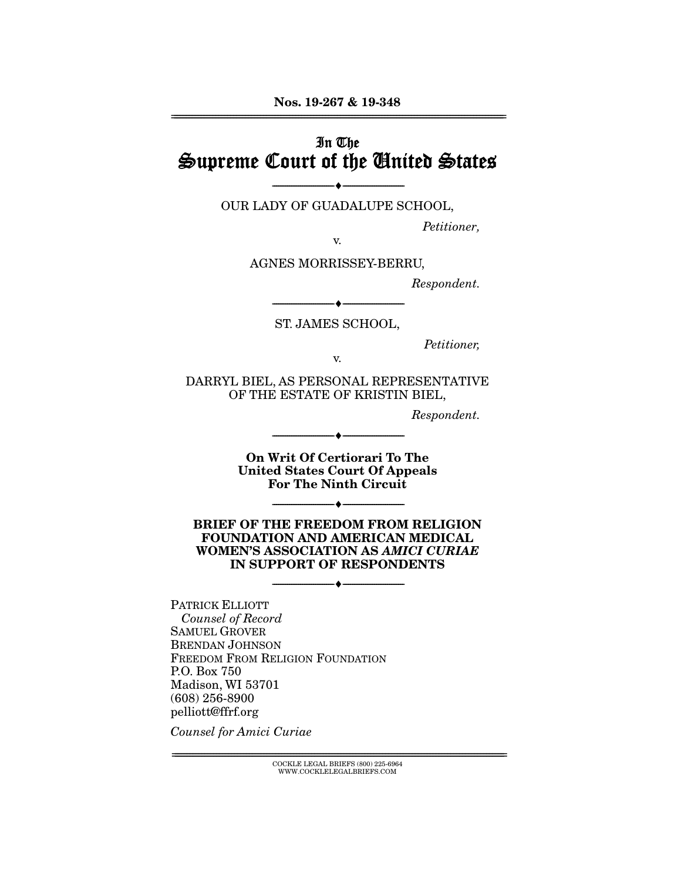# In The Supreme Court of the United States

OUR LADY OF GUADALUPE SCHOOL,

--------------------------------- ♦ ---------------------------------

Petitioner,

v.

AGNES MORRISSEY-BERRU,

Respondent.

--------------------------------- ♦ --------------------------------- ST. JAMES SCHOOL,

Petitioner,

v.

DARRYL BIEL, AS PERSONAL REPRESENTATIVE OF THE ESTATE OF KRISTIN BIEL,

Respondent.

**On Writ Of Certiorari To The United States Court Of Appeals For The Ninth Circuit** 

 $-$ 

--------------------------------- ♦ ---------------------------------

**BRIEF OF THE FREEDOM FROM RELIGION FOUNDATION AND AMERICAN MEDICAL WOMEN'S ASSOCIATION AS** *AMICI CURIAE*  **IN SUPPORT OF RESPONDENTS** 

--------------------------------- ♦ ---------------------------------

PATRICK ELLIOTT Counsel of Record SAMUEL GROVER BRENDAN JOHNSON FREEDOM FROM RELIGION FOUNDATION P.O. Box 750 Madison, WI 53701 (608) 256-8900 pelliott@ffrf.org

Counsel for Amici Curiae

 $\text{COCKLE LEGAL BRIEFS}$  (800) 225-6964 WWW.COCKLELEGALBRIEFS.COM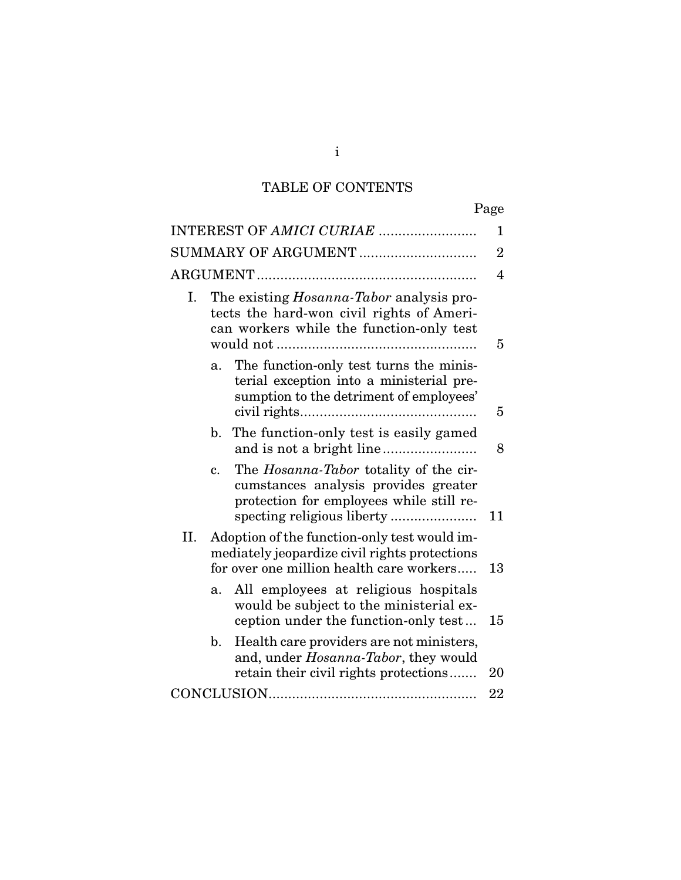## TABLE OF CONTENTS

|                          |                                                                                                                                           |                                                                                                                                          | Page           |
|--------------------------|-------------------------------------------------------------------------------------------------------------------------------------------|------------------------------------------------------------------------------------------------------------------------------------------|----------------|
| INTEREST OF AMICI CURIAE |                                                                                                                                           |                                                                                                                                          |                |
| SUMMARY OF ARGUMENT      |                                                                                                                                           |                                                                                                                                          | $\overline{2}$ |
|                          |                                                                                                                                           |                                                                                                                                          | $\overline{4}$ |
| Ι.                       |                                                                                                                                           | The existing <i>Hosanna-Tabor</i> analysis pro-<br>tects the hard-won civil rights of Ameri-<br>can workers while the function-only test | 5              |
|                          | a.                                                                                                                                        | The function-only test turns the minis-<br>terial exception into a ministerial pre-<br>sumption to the detriment of employees'           | 5              |
|                          | $\mathbf{b}$ .                                                                                                                            | The function-only test is easily gamed                                                                                                   | 8              |
|                          | $c_{\cdot}$                                                                                                                               | The <i>Hosanna-Tabor</i> totality of the cir-<br>cumstances analysis provides greater<br>protection for employees while still re-        | 11             |
| II.                      | Adoption of the function-only test would im-<br>mediately jeopardize civil rights protections<br>for over one million health care workers |                                                                                                                                          | 13             |
|                          | a.                                                                                                                                        | All employees at religious hospitals<br>would be subject to the ministerial ex-<br>ception under the function-only test                  | 15             |
|                          | $\mathbf{b}$ .                                                                                                                            | Health care providers are not ministers,<br>and, under Hosanna-Tabor, they would<br>retain their civil rights protections                | 20             |
|                          |                                                                                                                                           |                                                                                                                                          |                |

i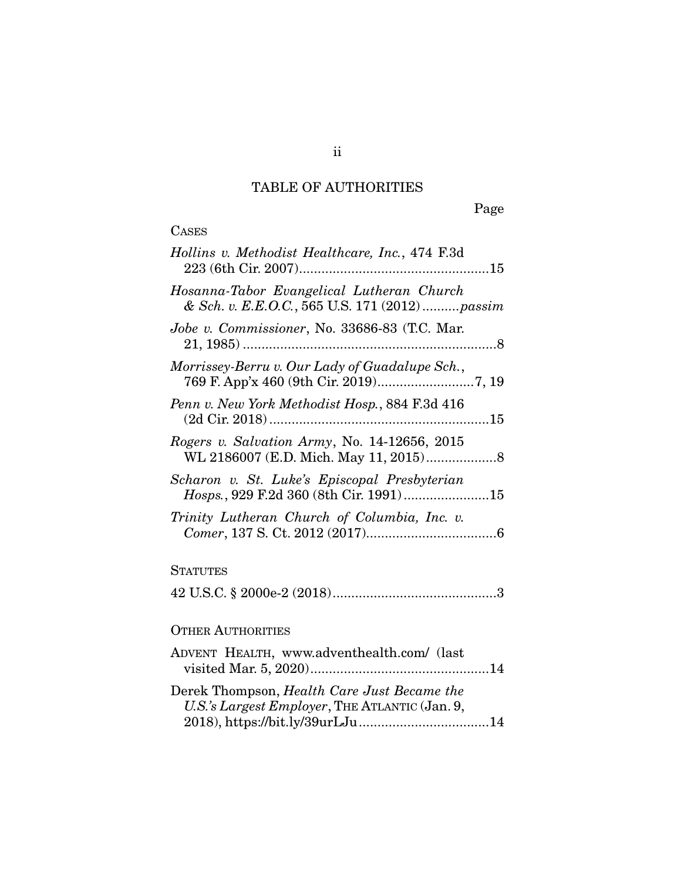# TABLE OF AUTHORITIES

Page

# **CASES**

| Hollins v. Methodist Healthcare, Inc., 474 F.3d                                               |
|-----------------------------------------------------------------------------------------------|
| Hosanna-Tabor Evangelical Lutheran Church<br>& Sch. v. E.E.O.C., 565 U.S. 171 (2012)passim    |
| Jobe v. Commissioner, No. 33686-83 (T.C. Mar.                                                 |
| Morrissey-Berru v. Our Lady of Guadalupe Sch.,                                                |
| Penn v. New York Methodist Hosp., 884 F.3d 416                                                |
| Rogers v. Salvation Army, No. 14-12656, 2015                                                  |
| Scharon v. St. Luke's Episcopal Presbyterian                                                  |
| Trinity Lutheran Church of Columbia, Inc. v.                                                  |
| <b>STATUTES</b>                                                                               |
|                                                                                               |
| <b>OTHER AUTHORITIES</b>                                                                      |
| ADVENT HEALTH, www.adventhealth.com/ (last                                                    |
| Derek Thompson, Health Care Just Became the<br>U.S.'s Largest Employer, THE ATLANTIC (Jan. 9, |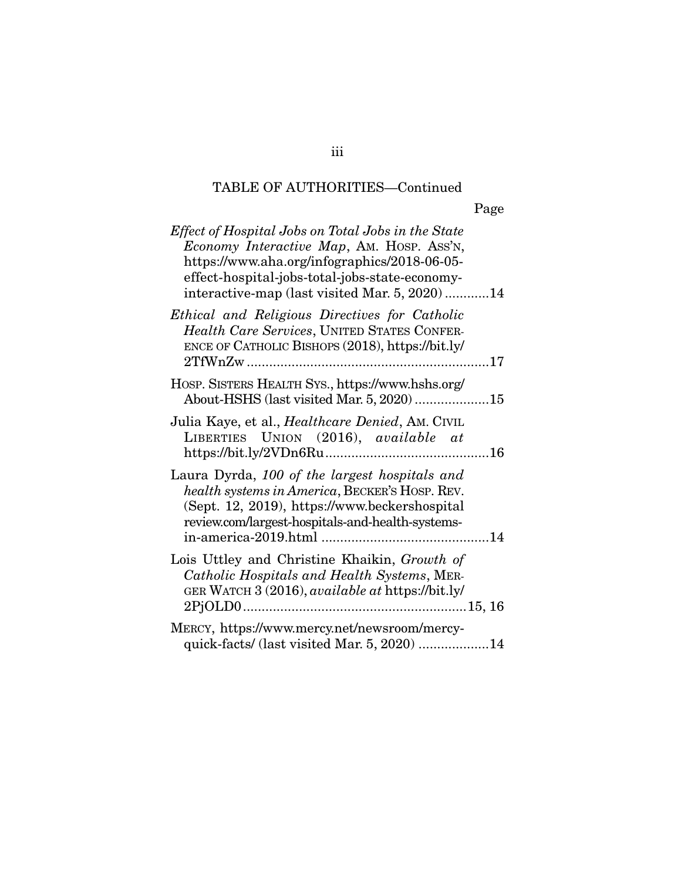## TABLE OF AUTHORITIES—Continued

| Effect of Hospital Jobs on Total Jobs in the State<br>Economy Interactive Map, AM. HOSP. ASS'N,<br>https://www.aha.org/infographics/2018-06-05-<br>effect-hospital-jobs-total-jobs-state-economy-<br>interactive-map (last visited Mar. 5, 2020)14 |
|----------------------------------------------------------------------------------------------------------------------------------------------------------------------------------------------------------------------------------------------------|
| Ethical and Religious Directives for Catholic<br>Health Care Services, UNITED STATES CONFER-<br>ENCE OF CATHOLIC BISHOPS (2018), https://bit.ly/                                                                                                   |
| HOSP. SISTERS HEALTH SYS., https://www.hshs.org/<br>About-HSHS (last visited Mar. 5, 2020) 15                                                                                                                                                      |
| Julia Kaye, et al., <i>Healthcare Denied</i> , Am. CIVIL<br>LIBERTIES UNION (2016), available at                                                                                                                                                   |
| Laura Dyrda, 100 of the largest hospitals and<br>health systems in America, BECKER'S HOSP. REV.<br>(Sept. 12, 2019), https://www.beckershospital<br>review.com/largest-hospitals-and-health-systems-                                               |
| Lois Uttley and Christine Khaikin, Growth of<br>Catholic Hospitals and Health Systems, MER-<br>GER WATCH 3 (2016), available at https://bit.ly/                                                                                                    |
| MERCY, https://www.mercy.net/newsroom/mercy-<br>quick-facts/(last visited Mar. 5, 2020) 14                                                                                                                                                         |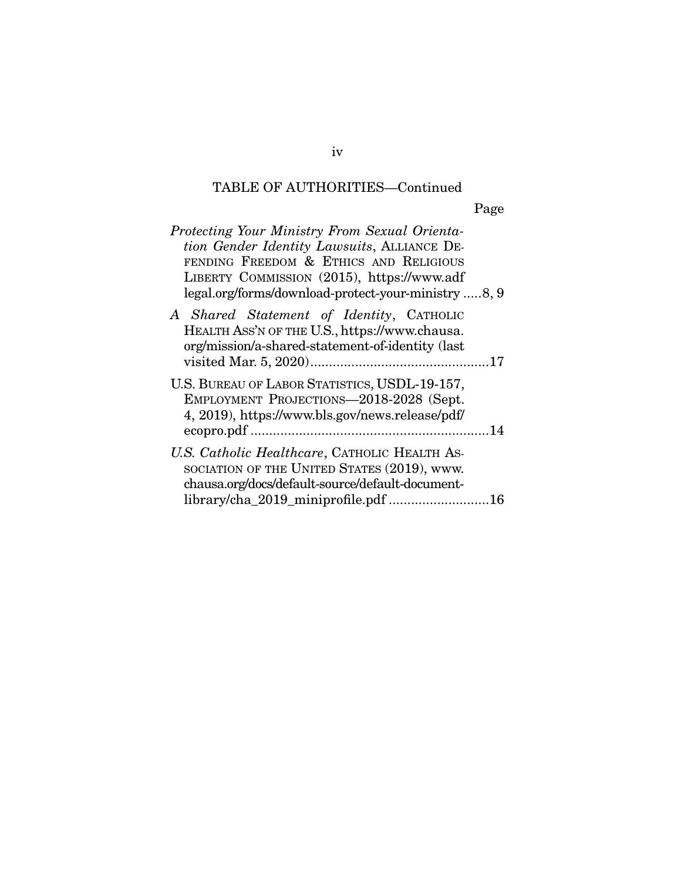## TABLE OF AUTHORITIES—Continued

| Protecting Your Ministry From Sexual Orienta-<br>tion Gender Identity Lawsuits, ALLIANCE DE-<br>FENDING FREEDOM & ETHICS AND RELIGIOUS<br>LIBERTY COMMISSION (2015), https://www.adf<br>legal.org/forms/download-protect-your-ministry 8, 9 |  |
|---------------------------------------------------------------------------------------------------------------------------------------------------------------------------------------------------------------------------------------------|--|
| A Shared Statement of Identity, CATHOLIC<br>HEALTH ASS'N OF THE U.S., https://www.chausa.<br>org/mission/a-shared-statement-of-identity (last                                                                                               |  |
| U.S. BUREAU OF LABOR STATISTICS, USDL-19-157,<br>EMPLOYMENT PROJECTIONS-2018-2028 (Sept.<br>4, 2019), https://www.bls.gov/news.release/pdf/                                                                                                 |  |
| U.S. Catholic Healthcare, CATHOLIC HEALTH AS-<br>SOCIATION OF THE UNITED STATES (2019), www.<br>chausa.org/docs/default-source/default-document-<br>library/cha_2019_miniprofile.pdf 16                                                     |  |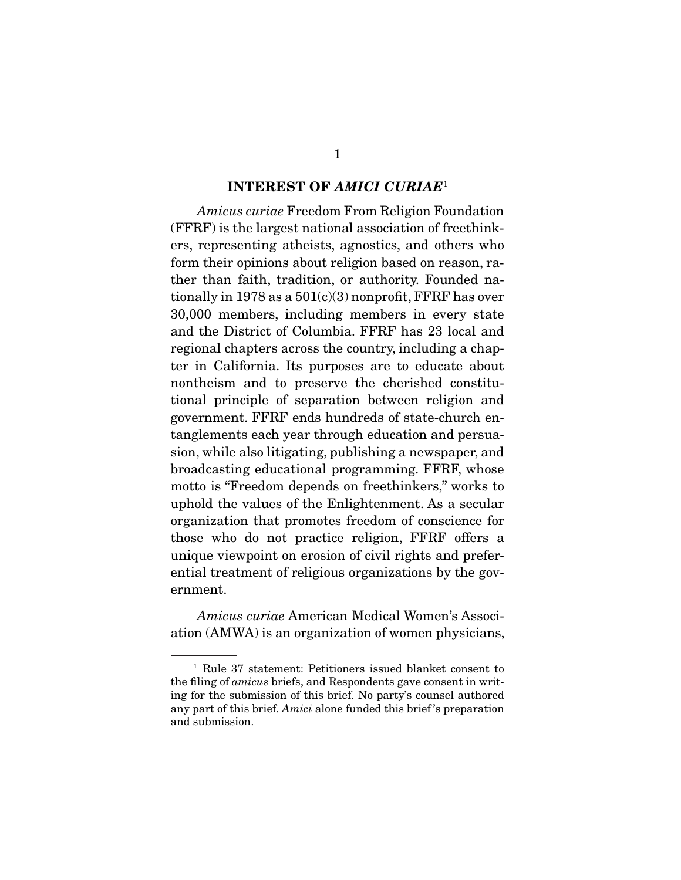#### **INTEREST OF** *AMICI CURIAE*<sup>1</sup>

Amicus curiae Freedom From Religion Foundation (FFRF) is the largest national association of freethinkers, representing atheists, agnostics, and others who form their opinions about religion based on reason, rather than faith, tradition, or authority. Founded nationally in 1978 as a  $501(c)(3)$  nonprofit, FFRF has over 30,000 members, including members in every state and the District of Columbia. FFRF has 23 local and regional chapters across the country, including a chapter in California. Its purposes are to educate about nontheism and to preserve the cherished constitutional principle of separation between religion and government. FFRF ends hundreds of state-church entanglements each year through education and persuasion, while also litigating, publishing a newspaper, and broadcasting educational programming. FFRF, whose motto is "Freedom depends on freethinkers," works to uphold the values of the Enlightenment. As a secular organization that promotes freedom of conscience for those who do not practice religion, FFRF offers a unique viewpoint on erosion of civil rights and preferential treatment of religious organizations by the government.

Amicus curiae American Medical Women's Association (AMWA) is an organization of women physicians,

<sup>1</sup> Rule 37 statement: Petitioners issued blanket consent to the filing of amicus briefs, and Respondents gave consent in writing for the submission of this brief. No party's counsel authored any part of this brief. Amici alone funded this brief 's preparation and submission.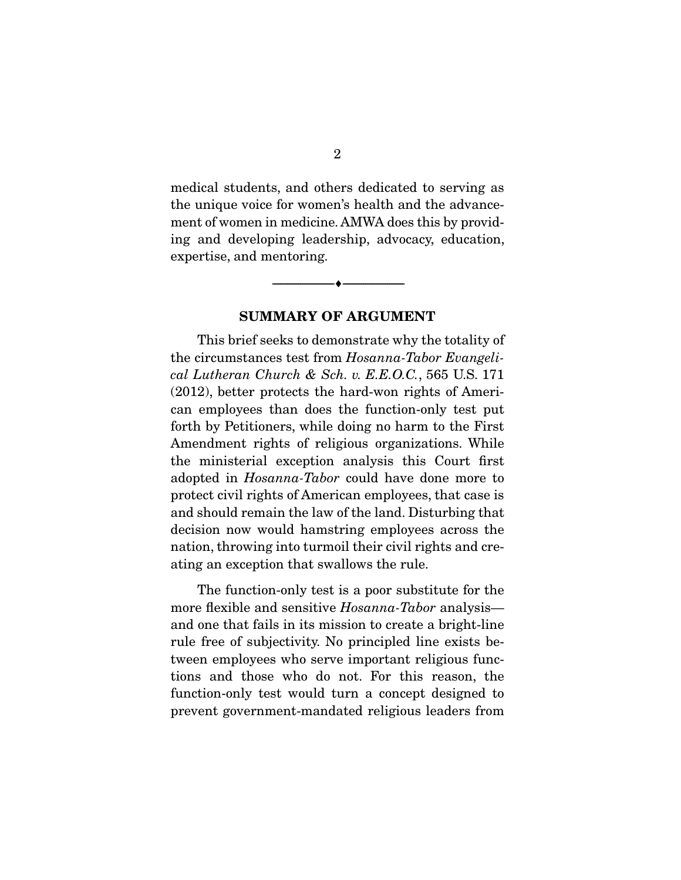medical students, and others dedicated to serving as the unique voice for women's health and the advancement of women in medicine. AMWA does this by providing and developing leadership, advocacy, education, expertise, and mentoring.

 $\overbrace{\hspace{2.5cm}}^{\bullet}$   $\overbrace{\hspace{2.5cm}}^{\bullet}$ 

#### **SUMMARY OF ARGUMENT**

 This brief seeks to demonstrate why the totality of the circumstances test from Hosanna-Tabor Evangelical Lutheran Church & Sch. v. E.E.O.C., 565 U.S. 171 (2012), better protects the hard-won rights of American employees than does the function-only test put forth by Petitioners, while doing no harm to the First Amendment rights of religious organizations. While the ministerial exception analysis this Court first adopted in Hosanna-Tabor could have done more to protect civil rights of American employees, that case is and should remain the law of the land. Disturbing that decision now would hamstring employees across the nation, throwing into turmoil their civil rights and creating an exception that swallows the rule.

 The function-only test is a poor substitute for the more flexible and sensitive *Hosanna-Tabor* analysis and one that fails in its mission to create a bright-line rule free of subjectivity. No principled line exists between employees who serve important religious functions and those who do not. For this reason, the function-only test would turn a concept designed to prevent government-mandated religious leaders from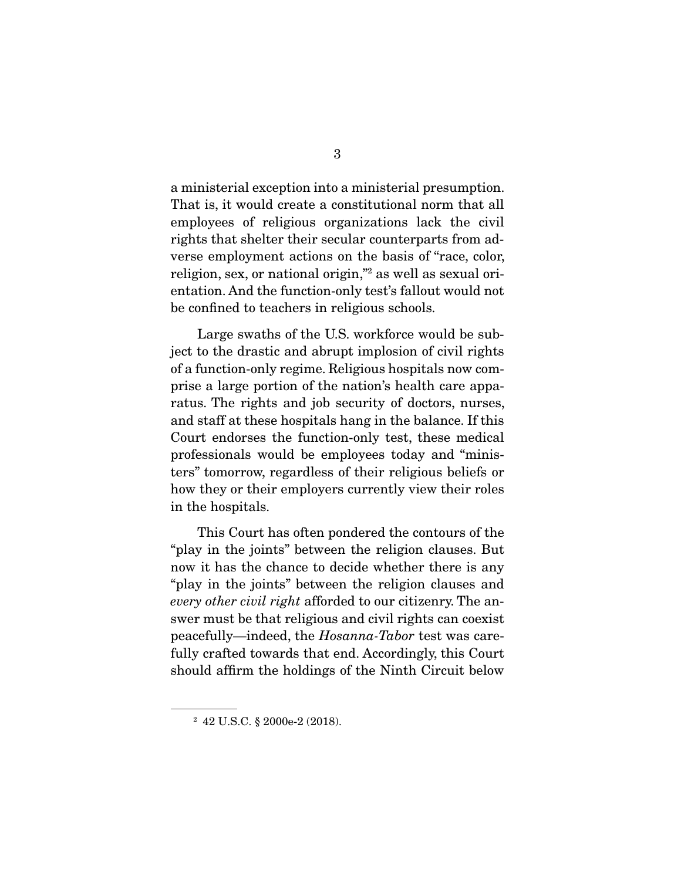a ministerial exception into a ministerial presumption. That is, it would create a constitutional norm that all employees of religious organizations lack the civil rights that shelter their secular counterparts from adverse employment actions on the basis of "race, color, religion, sex, or national origin,"2 as well as sexual orientation. And the function-only test's fallout would not be confined to teachers in religious schools.

 Large swaths of the U.S. workforce would be subject to the drastic and abrupt implosion of civil rights of a function-only regime. Religious hospitals now comprise a large portion of the nation's health care apparatus. The rights and job security of doctors, nurses, and staff at these hospitals hang in the balance. If this Court endorses the function-only test, these medical professionals would be employees today and "ministers" tomorrow, regardless of their religious beliefs or how they or their employers currently view their roles in the hospitals.

 This Court has often pondered the contours of the "play in the joints" between the religion clauses. But now it has the chance to decide whether there is any "play in the joints" between the religion clauses and every other civil right afforded to our citizenry. The answer must be that religious and civil rights can coexist peacefully—indeed, the Hosanna-Tabor test was carefully crafted towards that end. Accordingly, this Court should affirm the holdings of the Ninth Circuit below

<sup>2</sup> 42 U.S.C. § 2000e-2 (2018).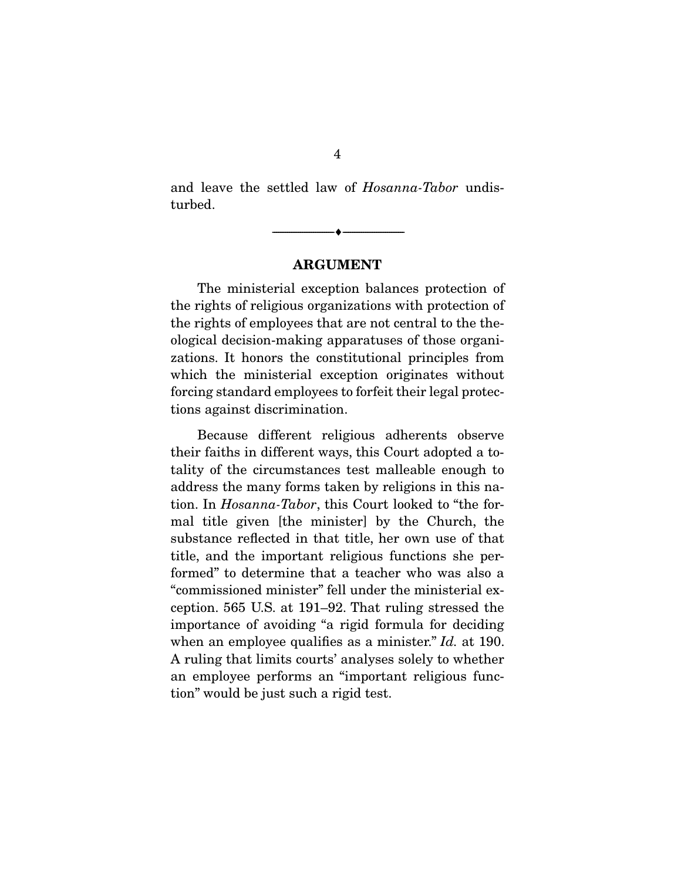and leave the settled law of Hosanna-Tabor undisturbed.

#### **ARGUMENT**

 $\overbrace{\hspace{2.5cm}}^{\bullet}$   $\overbrace{\hspace{2.5cm}}^{\bullet}$ 

 The ministerial exception balances protection of the rights of religious organizations with protection of the rights of employees that are not central to the theological decision-making apparatuses of those organizations. It honors the constitutional principles from which the ministerial exception originates without forcing standard employees to forfeit their legal protections against discrimination.

 Because different religious adherents observe their faiths in different ways, this Court adopted a totality of the circumstances test malleable enough to address the many forms taken by religions in this nation. In Hosanna-Tabor, this Court looked to "the formal title given [the minister] by the Church, the substance reflected in that title, her own use of that title, and the important religious functions she performed" to determine that a teacher who was also a "commissioned minister" fell under the ministerial exception. 565 U.S. at 191–92. That ruling stressed the importance of avoiding "a rigid formula for deciding when an employee qualifies as a minister." Id. at 190. A ruling that limits courts' analyses solely to whether an employee performs an "important religious function" would be just such a rigid test.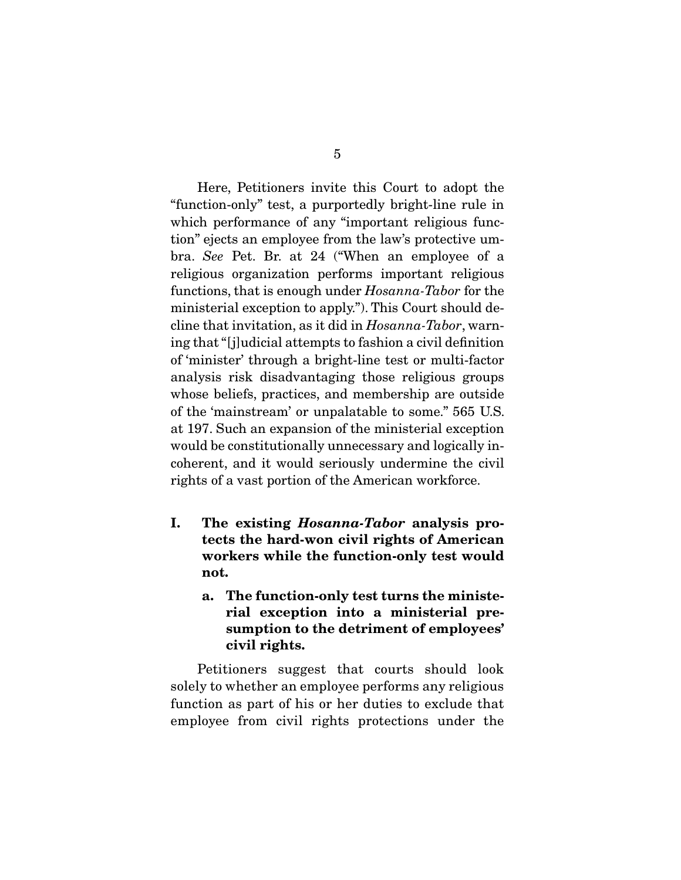Here, Petitioners invite this Court to adopt the "function-only" test, a purportedly bright-line rule in which performance of any "important religious function" ejects an employee from the law's protective umbra. See Pet. Br. at 24 ("When an employee of a religious organization performs important religious functions, that is enough under Hosanna-Tabor for the ministerial exception to apply."). This Court should decline that invitation, as it did in Hosanna-Tabor, warning that "[j]udicial attempts to fashion a civil definition of 'minister' through a bright-line test or multi-factor analysis risk disadvantaging those religious groups whose beliefs, practices, and membership are outside of the 'mainstream' or unpalatable to some." 565 U.S. at 197. Such an expansion of the ministerial exception would be constitutionally unnecessary and logically incoherent, and it would seriously undermine the civil rights of a vast portion of the American workforce.

- **I. The existing** *Hosanna-Tabor* **analysis protects the hard-won civil rights of American workers while the function-only test would not.** 
	- **a. The function-only test turns the ministerial exception into a ministerial presumption to the detriment of employees' civil rights.**

 Petitioners suggest that courts should look solely to whether an employee performs any religious function as part of his or her duties to exclude that employee from civil rights protections under the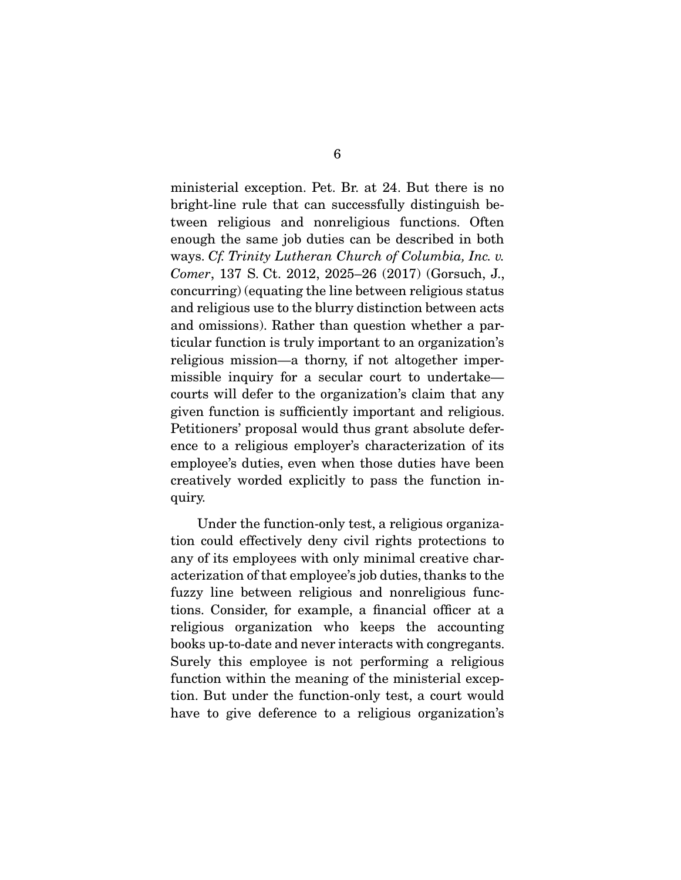ministerial exception. Pet. Br. at 24. But there is no bright-line rule that can successfully distinguish between religious and nonreligious functions. Often enough the same job duties can be described in both ways. Cf. Trinity Lutheran Church of Columbia, Inc. v. Comer, 137 S. Ct. 2012, 2025–26 (2017) (Gorsuch, J., concurring) (equating the line between religious status and religious use to the blurry distinction between acts and omissions). Rather than question whether a particular function is truly important to an organization's religious mission—a thorny, if not altogether impermissible inquiry for a secular court to undertake courts will defer to the organization's claim that any given function is sufficiently important and religious. Petitioners' proposal would thus grant absolute deference to a religious employer's characterization of its employee's duties, even when those duties have been creatively worded explicitly to pass the function inquiry.

 Under the function-only test, a religious organization could effectively deny civil rights protections to any of its employees with only minimal creative characterization of that employee's job duties, thanks to the fuzzy line between religious and nonreligious functions. Consider, for example, a financial officer at a religious organization who keeps the accounting books up-to-date and never interacts with congregants. Surely this employee is not performing a religious function within the meaning of the ministerial exception. But under the function-only test, a court would have to give deference to a religious organization's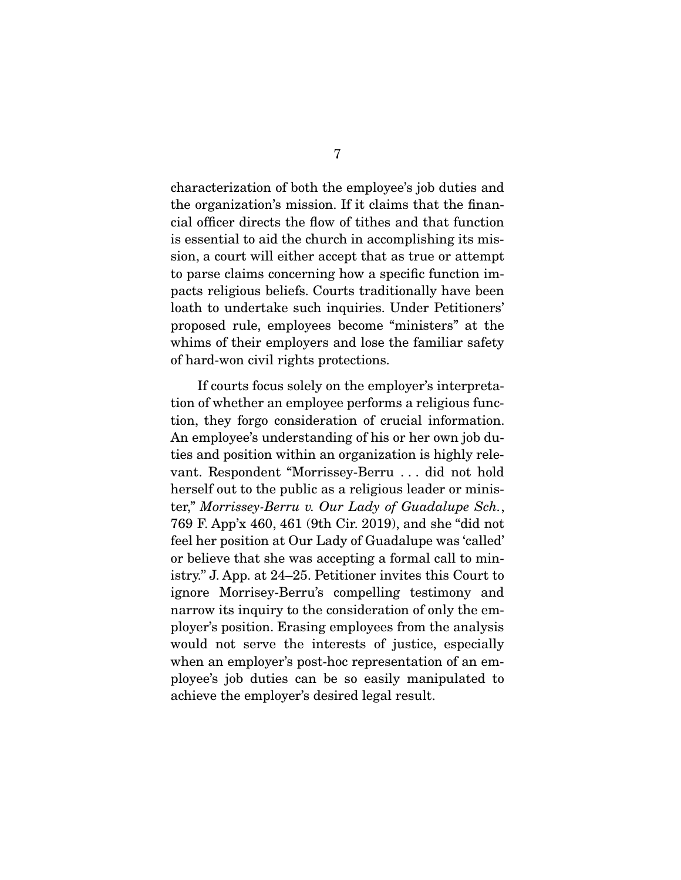characterization of both the employee's job duties and the organization's mission. If it claims that the financial officer directs the flow of tithes and that function is essential to aid the church in accomplishing its mission, a court will either accept that as true or attempt to parse claims concerning how a specific function impacts religious beliefs. Courts traditionally have been loath to undertake such inquiries. Under Petitioners' proposed rule, employees become "ministers" at the whims of their employers and lose the familiar safety of hard-won civil rights protections.

 If courts focus solely on the employer's interpretation of whether an employee performs a religious function, they forgo consideration of crucial information. An employee's understanding of his or her own job duties and position within an organization is highly relevant. Respondent "Morrissey-Berru . . . did not hold herself out to the public as a religious leader or minister," Morrissey-Berru v. Our Lady of Guadalupe Sch., 769 F. App'x 460, 461 (9th Cir. 2019), and she "did not feel her position at Our Lady of Guadalupe was 'called' or believe that she was accepting a formal call to ministry." J. App. at 24–25. Petitioner invites this Court to ignore Morrisey-Berru's compelling testimony and narrow its inquiry to the consideration of only the employer's position. Erasing employees from the analysis would not serve the interests of justice, especially when an employer's post-hoc representation of an employee's job duties can be so easily manipulated to achieve the employer's desired legal result.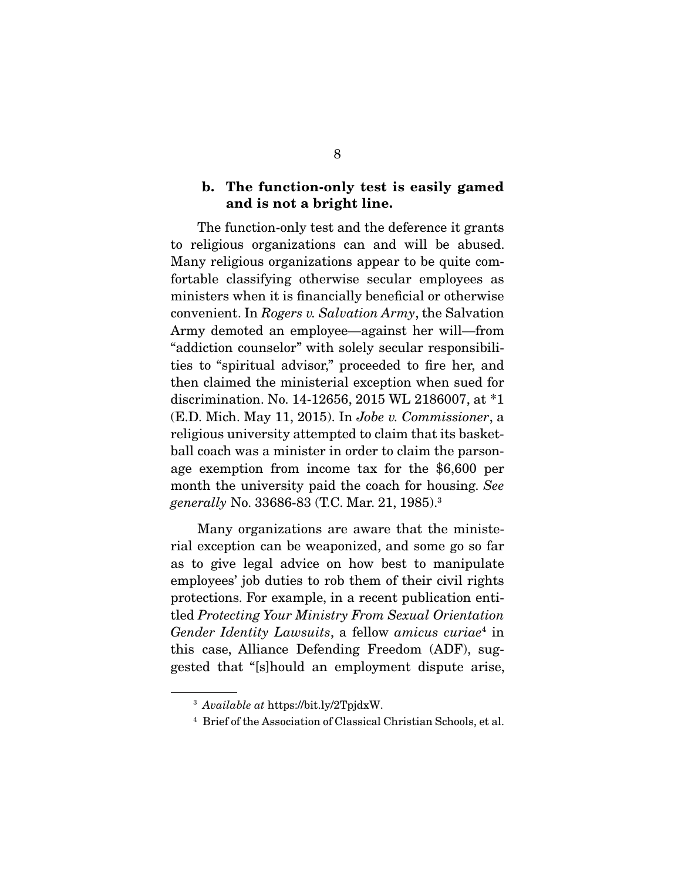### **b. The function-only test is easily gamed and is not a bright line.**

 The function-only test and the deference it grants to religious organizations can and will be abused. Many religious organizations appear to be quite comfortable classifying otherwise secular employees as ministers when it is financially beneficial or otherwise convenient. In Rogers v. Salvation Army, the Salvation Army demoted an employee—against her will—from "addiction counselor" with solely secular responsibilities to "spiritual advisor," proceeded to fire her, and then claimed the ministerial exception when sued for discrimination. No. 14-12656, 2015 WL 2186007, at \*1 (E.D. Mich. May 11, 2015). In Jobe v. Commissioner, a religious university attempted to claim that its basketball coach was a minister in order to claim the parsonage exemption from income tax for the \$6,600 per month the university paid the coach for housing. See generally No. 33686-83 (T.C. Mar. 21, 1985).<sup>3</sup>

 Many organizations are aware that the ministerial exception can be weaponized, and some go so far as to give legal advice on how best to manipulate employees' job duties to rob them of their civil rights protections. For example, in a recent publication entitled Protecting Your Ministry From Sexual Orientation Gender Identity Lawsuits, a fellow amicus curiae<sup>4</sup> in this case, Alliance Defending Freedom (ADF), suggested that "[s]hould an employment dispute arise,

<sup>3</sup> Available at https://bit.ly/2TpjdxW.

<sup>4</sup> Brief of the Association of Classical Christian Schools, et al.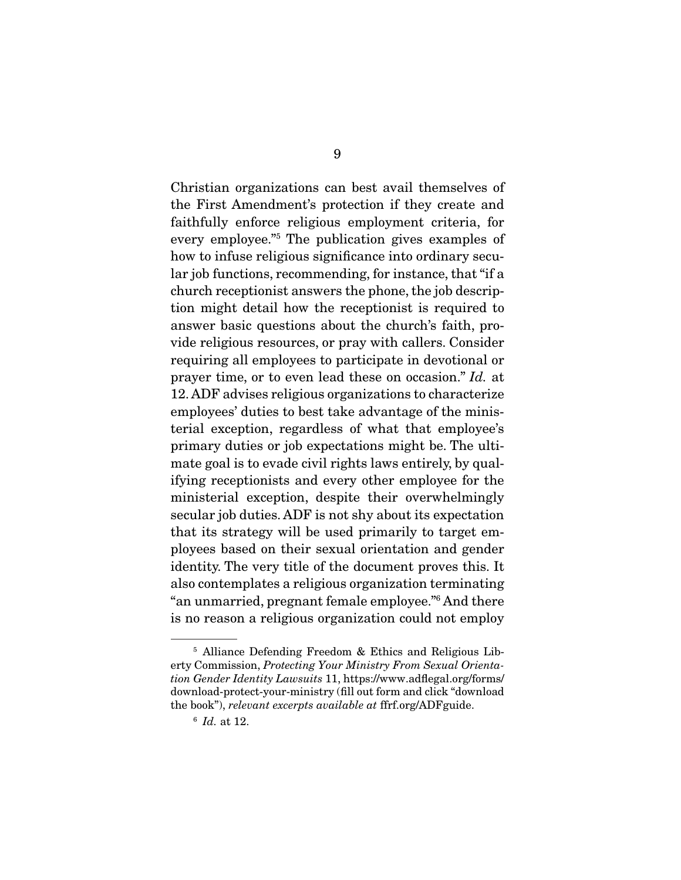Christian organizations can best avail themselves of the First Amendment's protection if they create and faithfully enforce religious employment criteria, for every employee."5 The publication gives examples of how to infuse religious significance into ordinary secular job functions, recommending, for instance, that "if a church receptionist answers the phone, the job description might detail how the receptionist is required to answer basic questions about the church's faith, provide religious resources, or pray with callers. Consider requiring all employees to participate in devotional or prayer time, or to even lead these on occasion." Id. at 12. ADF advises religious organizations to characterize employees' duties to best take advantage of the ministerial exception, regardless of what that employee's primary duties or job expectations might be. The ultimate goal is to evade civil rights laws entirely, by qualifying receptionists and every other employee for the ministerial exception, despite their overwhelmingly secular job duties. ADF is not shy about its expectation that its strategy will be used primarily to target employees based on their sexual orientation and gender identity. The very title of the document proves this. It also contemplates a religious organization terminating "an unmarried, pregnant female employee."6 And there is no reason a religious organization could not employ

<sup>5</sup> Alliance Defending Freedom & Ethics and Religious Liberty Commission, Protecting Your Ministry From Sexual Orientation Gender Identity Lawsuits 11, https://www.adflegal.org/forms/ download-protect-your-ministry (fill out form and click "download the book"), relevant excerpts available at ffrf.org/ADFguide.

 $6$  Id. at 12.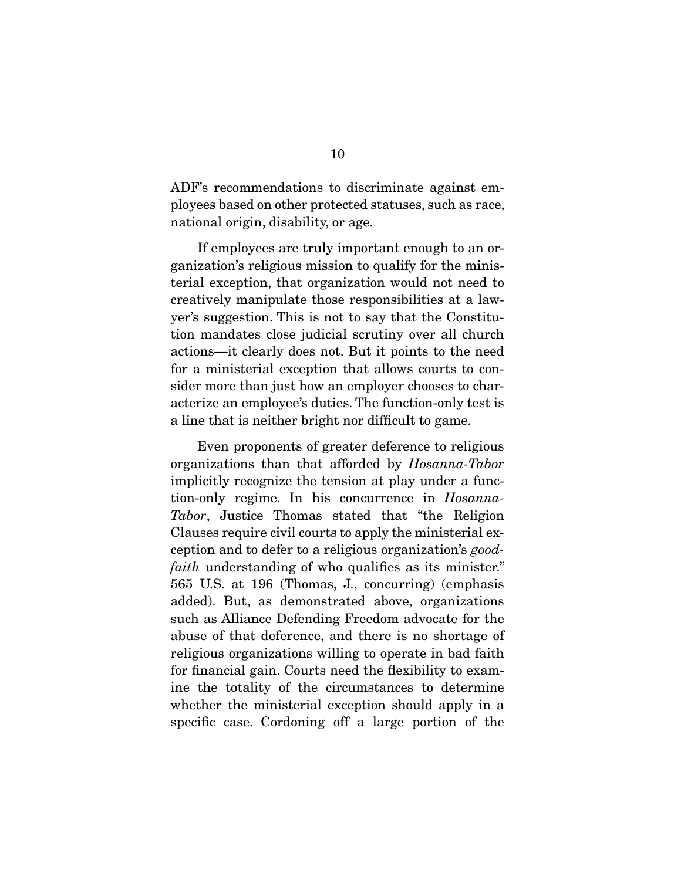ADF's recommendations to discriminate against employees based on other protected statuses, such as race, national origin, disability, or age.

 If employees are truly important enough to an organization's religious mission to qualify for the ministerial exception, that organization would not need to creatively manipulate those responsibilities at a lawyer's suggestion. This is not to say that the Constitution mandates close judicial scrutiny over all church actions—it clearly does not. But it points to the need for a ministerial exception that allows courts to consider more than just how an employer chooses to characterize an employee's duties. The function-only test is a line that is neither bright nor difficult to game.

 Even proponents of greater deference to religious organizations than that afforded by Hosanna-Tabor implicitly recognize the tension at play under a function-only regime. In his concurrence in Hosanna-Tabor, Justice Thomas stated that "the Religion Clauses require civil courts to apply the ministerial exception and to defer to a religious organization's goodfaith understanding of who qualifies as its minister." 565 U.S. at 196 (Thomas, J., concurring) (emphasis added). But, as demonstrated above, organizations such as Alliance Defending Freedom advocate for the abuse of that deference, and there is no shortage of religious organizations willing to operate in bad faith for financial gain. Courts need the flexibility to examine the totality of the circumstances to determine whether the ministerial exception should apply in a specific case. Cordoning off a large portion of the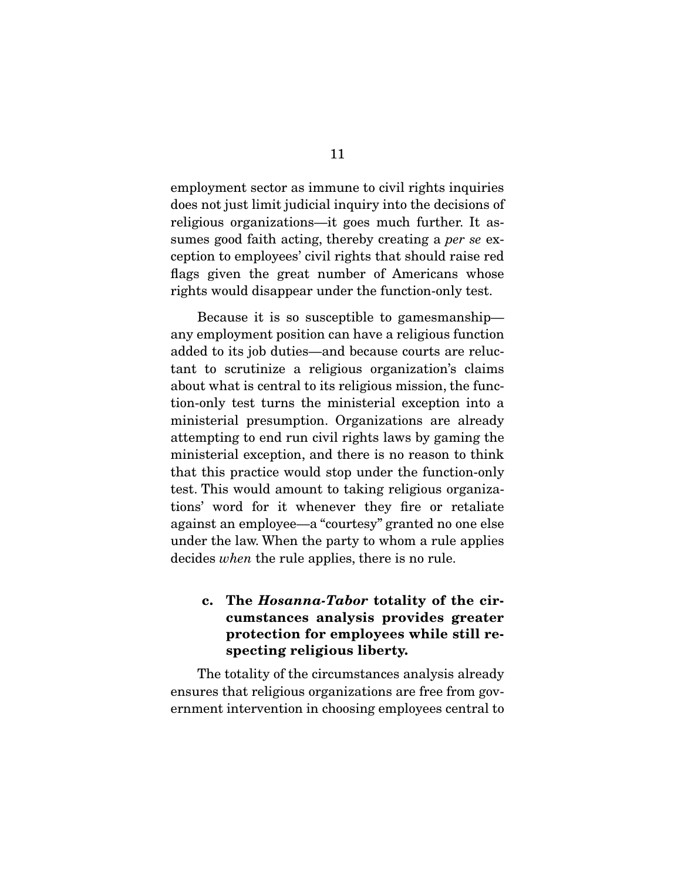employment sector as immune to civil rights inquiries does not just limit judicial inquiry into the decisions of religious organizations—it goes much further. It assumes good faith acting, thereby creating a per se exception to employees' civil rights that should raise red flags given the great number of Americans whose rights would disappear under the function-only test.

 Because it is so susceptible to gamesmanship any employment position can have a religious function added to its job duties—and because courts are reluctant to scrutinize a religious organization's claims about what is central to its religious mission, the function-only test turns the ministerial exception into a ministerial presumption. Organizations are already attempting to end run civil rights laws by gaming the ministerial exception, and there is no reason to think that this practice would stop under the function-only test. This would amount to taking religious organizations' word for it whenever they fire or retaliate against an employee—a "courtesy" granted no one else under the law. When the party to whom a rule applies decides when the rule applies, there is no rule.

## **c. The** *Hosanna-Tabor* **totality of the circumstances analysis provides greater protection for employees while still respecting religious liberty.**

 The totality of the circumstances analysis already ensures that religious organizations are free from government intervention in choosing employees central to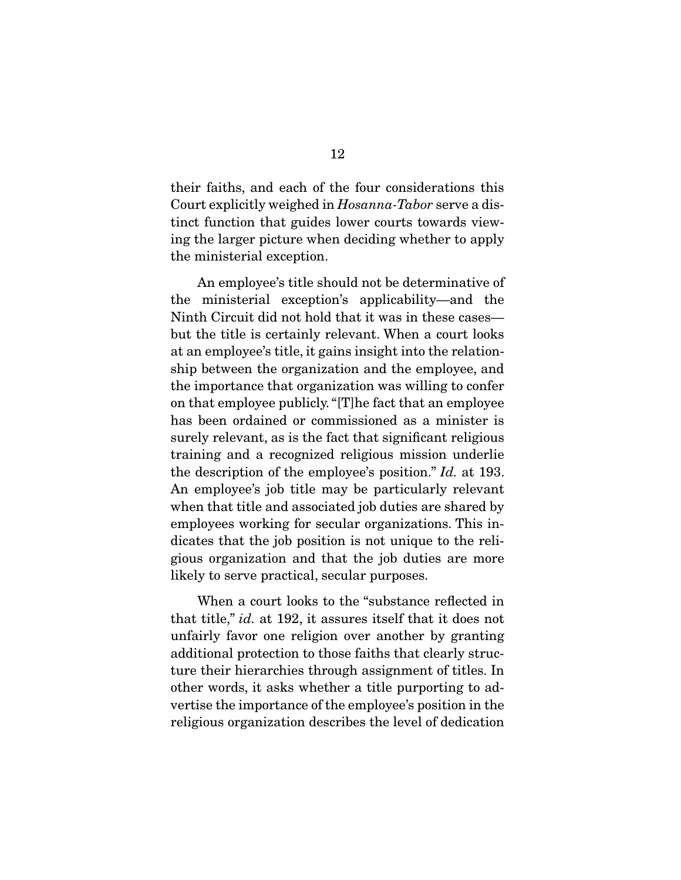their faiths, and each of the four considerations this Court explicitly weighed in Hosanna-Tabor serve a distinct function that guides lower courts towards viewing the larger picture when deciding whether to apply the ministerial exception.

 An employee's title should not be determinative of the ministerial exception's applicability—and the Ninth Circuit did not hold that it was in these cases but the title is certainly relevant. When a court looks at an employee's title, it gains insight into the relationship between the organization and the employee, and the importance that organization was willing to confer on that employee publicly. "[T]he fact that an employee has been ordained or commissioned as a minister is surely relevant, as is the fact that significant religious training and a recognized religious mission underlie the description of the employee's position." Id. at 193. An employee's job title may be particularly relevant when that title and associated job duties are shared by employees working for secular organizations. This indicates that the job position is not unique to the religious organization and that the job duties are more likely to serve practical, secular purposes.

 When a court looks to the "substance reflected in that title," id. at 192, it assures itself that it does not unfairly favor one religion over another by granting additional protection to those faiths that clearly structure their hierarchies through assignment of titles. In other words, it asks whether a title purporting to advertise the importance of the employee's position in the religious organization describes the level of dedication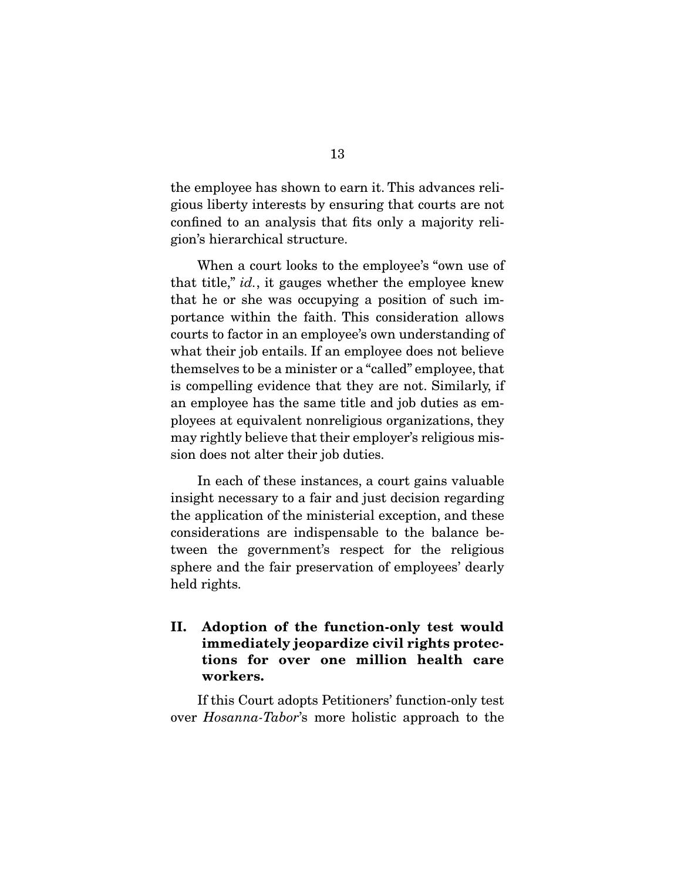the employee has shown to earn it. This advances religious liberty interests by ensuring that courts are not confined to an analysis that fits only a majority religion's hierarchical structure.

 When a court looks to the employee's "own use of that title," *id.*, it gauges whether the employee knew that he or she was occupying a position of such importance within the faith. This consideration allows courts to factor in an employee's own understanding of what their job entails. If an employee does not believe themselves to be a minister or a "called" employee, that is compelling evidence that they are not. Similarly, if an employee has the same title and job duties as employees at equivalent nonreligious organizations, they may rightly believe that their employer's religious mission does not alter their job duties.

 In each of these instances, a court gains valuable insight necessary to a fair and just decision regarding the application of the ministerial exception, and these considerations are indispensable to the balance between the government's respect for the religious sphere and the fair preservation of employees' dearly held rights.

**II. Adoption of the function-only test would immediately jeopardize civil rights protections for over one million health care workers.** 

 If this Court adopts Petitioners' function-only test over Hosanna-Tabor's more holistic approach to the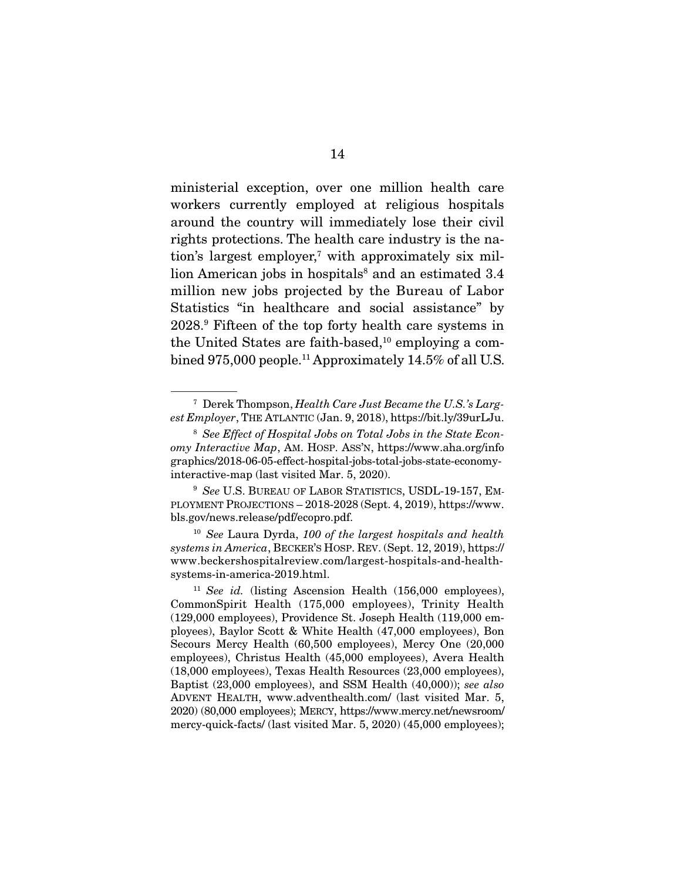ministerial exception, over one million health care workers currently employed at religious hospitals around the country will immediately lose their civil rights protections. The health care industry is the nation's largest employer,<sup>7</sup> with approximately six million American jobs in hospitals<sup>8</sup> and an estimated 3.4 million new jobs projected by the Bureau of Labor Statistics "in healthcare and social assistance" by 2028.9 Fifteen of the top forty health care systems in the United States are faith-based, $10$  employing a combined 975,000 people.<sup>11</sup> Approximately 14.5% of all U.S.

 $7$  Derek Thompson, Health Care Just Became the U.S.'s Largest Employer, THE ATLANTIC (Jan. 9, 2018), https://bit.ly/39urLJu.

<sup>&</sup>lt;sup>8</sup> See Effect of Hospital Jobs on Total Jobs in the State Economy Interactive Map, AM. HOSP. ASS'N, https://www.aha.org/info graphics/2018-06-05-effect-hospital-jobs-total-jobs-state-economyinteractive-map (last visited Mar. 5, 2020).

<sup>&</sup>lt;sup>9</sup> See U.S. BUREAU OF LABOR STATISTICS, USDL-19-157, EM-PLOYMENT PROJECTIONS – 2018-2028 (Sept. 4, 2019), https://www. bls.gov/news.release/pdf/ecopro.pdf.

 $10$  See Laura Dyrda, 100 of the largest hospitals and health systems in America, BECKER'S HOSP. REV. (Sept. 12, 2019), https:// www.beckershospitalreview.com/largest-hospitals-and-healthsystems-in-america-2019.html.

<sup>&</sup>lt;sup>11</sup> See id. (listing Ascension Health  $(156,000 \text{ employees}),$ CommonSpirit Health (175,000 employees), Trinity Health (129,000 employees), Providence St. Joseph Health (119,000 employees), Baylor Scott & White Health (47,000 employees), Bon Secours Mercy Health (60,500 employees), Mercy One (20,000 employees), Christus Health (45,000 employees), Avera Health (18,000 employees), Texas Health Resources (23,000 employees), Baptist (23,000 employees), and SSM Health (40,000)); see also ADVENT HEALTH, www.adventhealth.com/ (last visited Mar. 5, 2020) (80,000 employees); MERCY, https://www.mercy.net/newsroom/ mercy-quick-facts/ (last visited Mar. 5, 2020) (45,000 employees);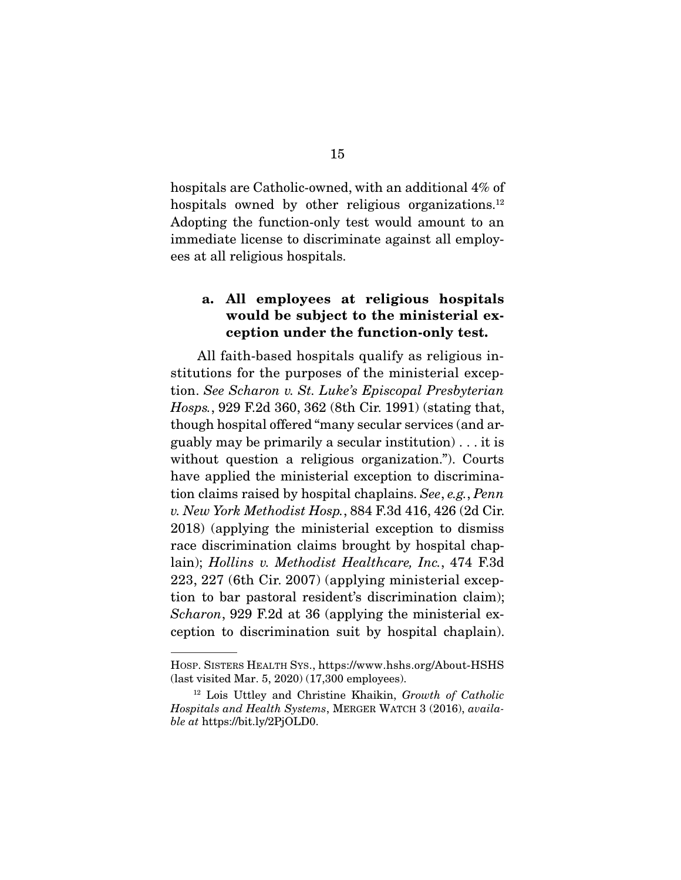hospitals are Catholic-owned, with an additional 4% of hospitals owned by other religious organizations.<sup>12</sup> Adopting the function-only test would amount to an immediate license to discriminate against all employees at all religious hospitals.

## **a. All employees at religious hospitals would be subject to the ministerial exception under the function-only test.**

 All faith-based hospitals qualify as religious institutions for the purposes of the ministerial exception. See Scharon v. St. Luke's Episcopal Presbyterian Hosps., 929 F.2d 360, 362 (8th Cir. 1991) (stating that, though hospital offered "many secular services (and arguably may be primarily a secular institution) . . . it is without question a religious organization."). Courts have applied the ministerial exception to discrimination claims raised by hospital chaplains. See, e.g., Penn v. New York Methodist Hosp., 884 F.3d 416, 426 (2d Cir. 2018) (applying the ministerial exception to dismiss race discrimination claims brought by hospital chaplain); Hollins v. Methodist Healthcare, Inc., 474 F.3d 223, 227 (6th Cir. 2007) (applying ministerial exception to bar pastoral resident's discrimination claim); Scharon, 929 F.2d at 36 (applying the ministerial exception to discrimination suit by hospital chaplain).

HOSP. SISTERS HEALTH SYS., https://www.hshs.org/About-HSHS (last visited Mar. 5, 2020) (17,300 employees).

<sup>12</sup> Lois Uttley and Christine Khaikin, Growth of Catholic Hospitals and Health Systems, MERGER WATCH 3 (2016), available at https://bit.ly/2PjOLD0.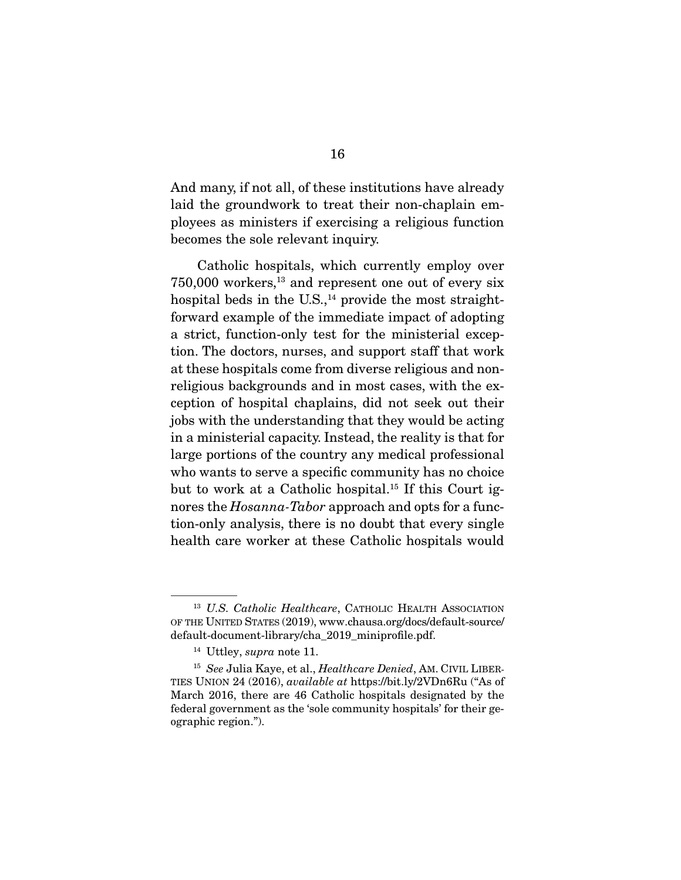And many, if not all, of these institutions have already laid the groundwork to treat their non-chaplain employees as ministers if exercising a religious function becomes the sole relevant inquiry.

 Catholic hospitals, which currently employ over  $750,000$  workers,<sup>13</sup> and represent one out of every six hospital beds in the U.S., $^{14}$  provide the most straightforward example of the immediate impact of adopting a strict, function-only test for the ministerial exception. The doctors, nurses, and support staff that work at these hospitals come from diverse religious and nonreligious backgrounds and in most cases, with the exception of hospital chaplains, did not seek out their jobs with the understanding that they would be acting in a ministerial capacity. Instead, the reality is that for large portions of the country any medical professional who wants to serve a specific community has no choice but to work at a Catholic hospital.15 If this Court ignores the *Hosanna-Tabor* approach and opts for a function-only analysis, there is no doubt that every single health care worker at these Catholic hospitals would

<sup>&</sup>lt;sup>13</sup> U.S. Catholic Healthcare, CATHOLIC HEALTH ASSOCIATION OF THE UNITED STATES (2019), www.chausa.org/docs/default-source/ default-document-library/cha\_2019\_miniprofile.pdf.

 $14$  Uttley, *supra* note 11.

<sup>&</sup>lt;sup>15</sup> See Julia Kaye, et al., *Healthcare Denied*, AM. CIVIL LIBER-TIES UNION 24 (2016), available at https://bit.ly/2VDn6Ru ("As of March 2016, there are 46 Catholic hospitals designated by the federal government as the 'sole community hospitals' for their geographic region.").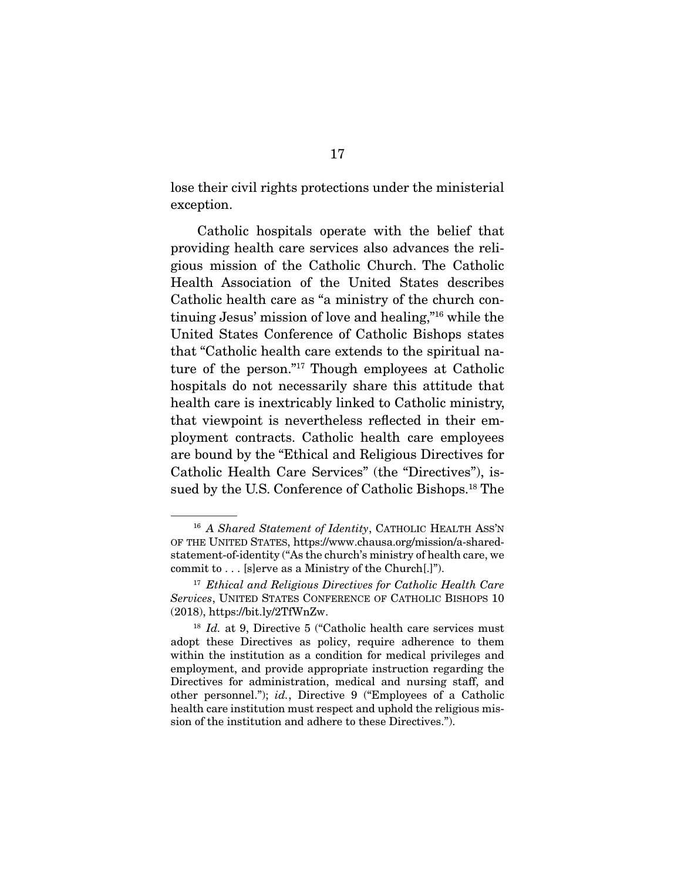lose their civil rights protections under the ministerial exception.

 Catholic hospitals operate with the belief that providing health care services also advances the religious mission of the Catholic Church. The Catholic Health Association of the United States describes Catholic health care as "a ministry of the church continuing Jesus' mission of love and healing,"16 while the United States Conference of Catholic Bishops states that "Catholic health care extends to the spiritual nature of the person."17 Though employees at Catholic hospitals do not necessarily share this attitude that health care is inextricably linked to Catholic ministry, that viewpoint is nevertheless reflected in their employment contracts. Catholic health care employees are bound by the "Ethical and Religious Directives for Catholic Health Care Services" (the "Directives"), issued by the U.S. Conference of Catholic Bishops.<sup>18</sup> The

<sup>&</sup>lt;sup>16</sup> A Shared Statement of Identity, CATHOLIC HEALTH ASS'N OF THE UNITED STATES, https://www.chausa.org/mission/a-sharedstatement-of-identity ("As the church's ministry of health care, we commit to . . . [s]erve as a Ministry of the Church[.]").

 $17$  Ethical and Religious Directives for Catholic Health Care Services, UNITED STATES CONFERENCE OF CATHOLIC BISHOPS 10 (2018), https://bit.ly/2TfWnZw.

 $18$  Id. at 9, Directive 5 ("Catholic health care services must adopt these Directives as policy, require adherence to them within the institution as a condition for medical privileges and employment, and provide appropriate instruction regarding the Directives for administration, medical and nursing staff, and other personnel."); id., Directive 9 ("Employees of a Catholic health care institution must respect and uphold the religious mission of the institution and adhere to these Directives.").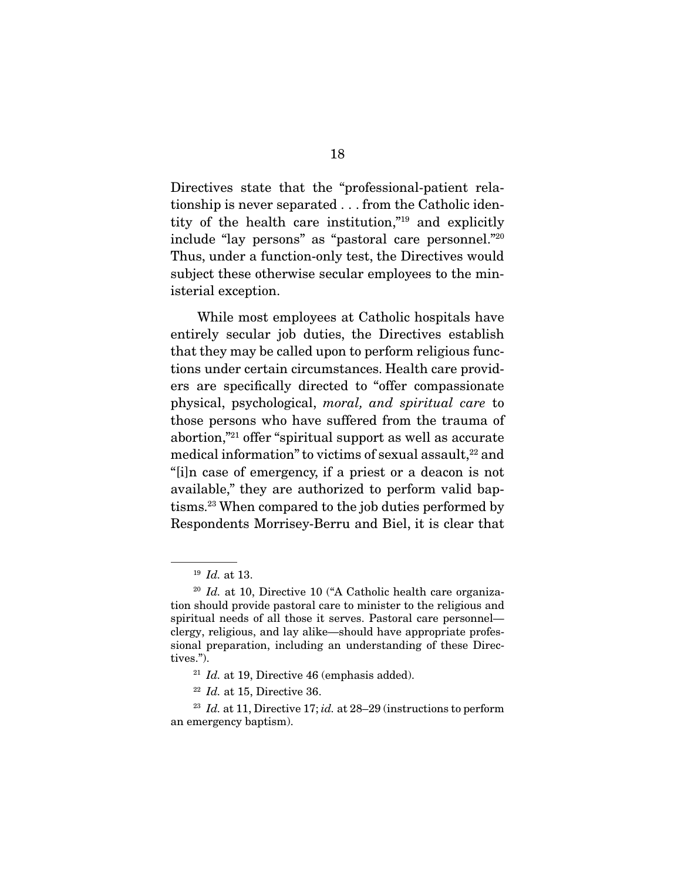Directives state that the "professional-patient relationship is never separated . . . from the Catholic identity of the health care institution,"19 and explicitly include "lay persons" as "pastoral care personnel."20 Thus, under a function-only test, the Directives would subject these otherwise secular employees to the ministerial exception.

 While most employees at Catholic hospitals have entirely secular job duties, the Directives establish that they may be called upon to perform religious functions under certain circumstances. Health care providers are specifically directed to "offer compassionate physical, psychological, moral, and spiritual care to those persons who have suffered from the trauma of abortion,"21 offer "spiritual support as well as accurate medical information" to victims of sexual assault,<sup>22</sup> and "[i]n case of emergency, if a priest or a deacon is not available," they are authorized to perform valid baptisms.23 When compared to the job duties performed by Respondents Morrisey-Berru and Biel, it is clear that

<sup>19</sup> Id. at 13.

 $20$  Id. at 10, Directive 10 ("A Catholic health care organization should provide pastoral care to minister to the religious and spiritual needs of all those it serves. Pastoral care personnel clergy, religious, and lay alike—should have appropriate professional preparation, including an understanding of these Directives.").

 $21$  Id. at 19, Directive 46 (emphasis added).

 $22$  *Id.* at 15, Directive 36.

<sup>&</sup>lt;sup>23</sup> Id. at 11, Directive 17; id. at  $28-29$  (instructions to perform an emergency baptism).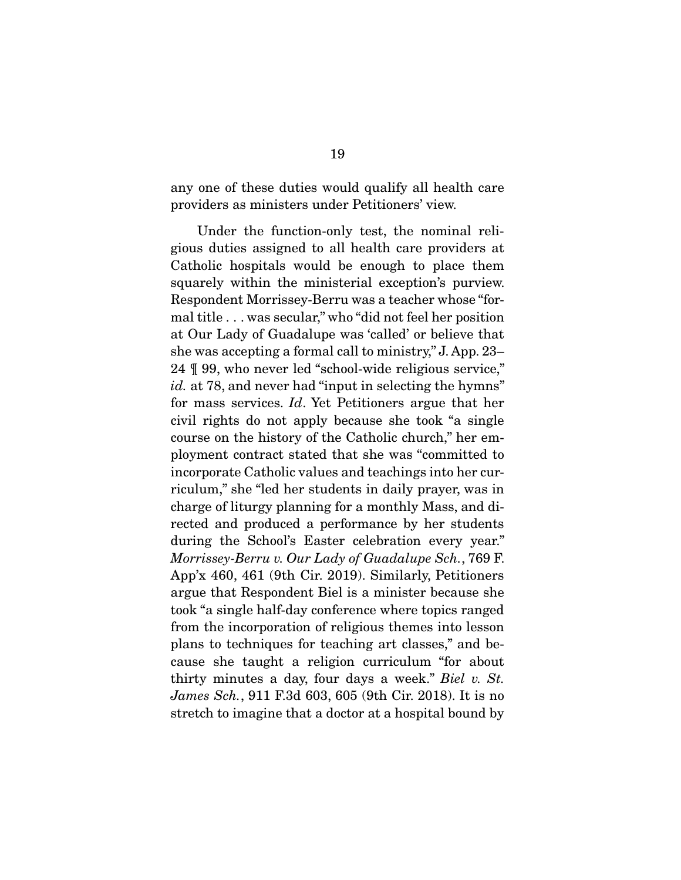any one of these duties would qualify all health care providers as ministers under Petitioners' view.

 Under the function-only test, the nominal religious duties assigned to all health care providers at Catholic hospitals would be enough to place them squarely within the ministerial exception's purview. Respondent Morrissey-Berru was a teacher whose "formal title . . . was secular," who "did not feel her position at Our Lady of Guadalupe was 'called' or believe that she was accepting a formal call to ministry," J. App. 23– 24 ¶ 99, who never led "school-wide religious service," id. at 78, and never had "input in selecting the hymns" for mass services. Id. Yet Petitioners argue that her civil rights do not apply because she took "a single course on the history of the Catholic church," her employment contract stated that she was "committed to incorporate Catholic values and teachings into her curriculum," she "led her students in daily prayer, was in charge of liturgy planning for a monthly Mass, and directed and produced a performance by her students during the School's Easter celebration every year." Morrissey-Berru v. Our Lady of Guadalupe Sch., 769 F. App'x 460, 461 (9th Cir. 2019). Similarly, Petitioners argue that Respondent Biel is a minister because she took "a single half-day conference where topics ranged from the incorporation of religious themes into lesson plans to techniques for teaching art classes," and because she taught a religion curriculum "for about thirty minutes a day, four days a week." Biel v. St. James Sch., 911 F.3d 603, 605 (9th Cir. 2018). It is no stretch to imagine that a doctor at a hospital bound by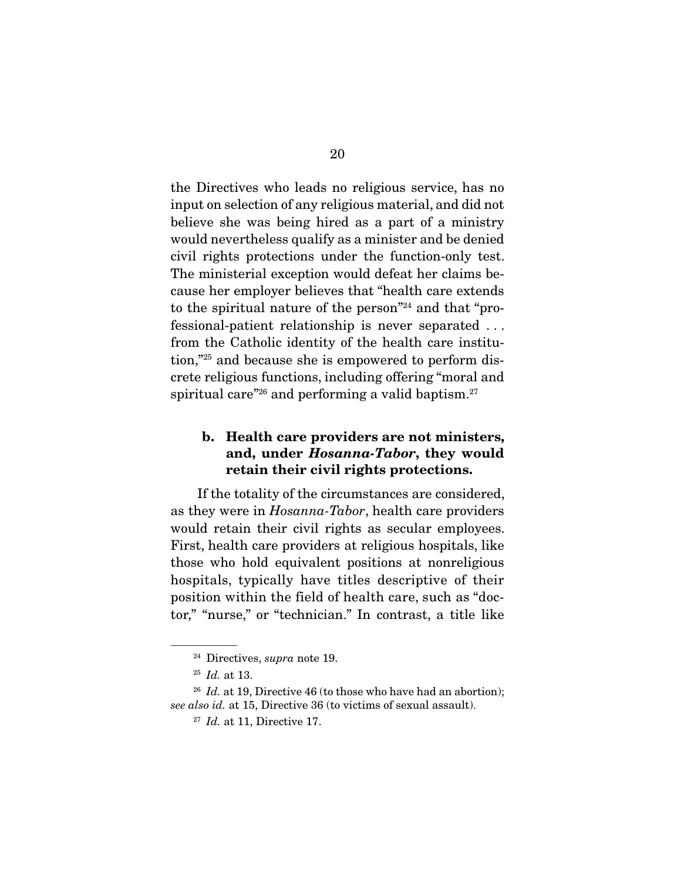the Directives who leads no religious service, has no input on selection of any religious material, and did not believe she was being hired as a part of a ministry would nevertheless qualify as a minister and be denied civil rights protections under the function-only test. The ministerial exception would defeat her claims because her employer believes that "health care extends to the spiritual nature of the person"24 and that "professional-patient relationship is never separated . . . from the Catholic identity of the health care institution,"25 and because she is empowered to perform discrete religious functions, including offering "moral and spiritual care<sup> $"26$ </sup> and performing a valid baptism.<sup>27</sup>

## **b. Health care providers are not ministers, and, under** *Hosanna-Tabor***, they would retain their civil rights protections.**

 If the totality of the circumstances are considered, as they were in Hosanna-Tabor, health care providers would retain their civil rights as secular employees. First, health care providers at religious hospitals, like those who hold equivalent positions at nonreligious hospitals, typically have titles descriptive of their position within the field of health care, such as "doctor," "nurse," or "technician." In contrast, a title like

 $24$  Directives, *supra* note 19.

 $^{25}$  *Id.* at 13.

<sup>&</sup>lt;sup>26</sup> Id. at 19, Directive 46 (to those who have had an abortion); see also id. at 15, Directive 36 (to victims of sexual assault).

 $27$  *Id.* at 11, Directive 17.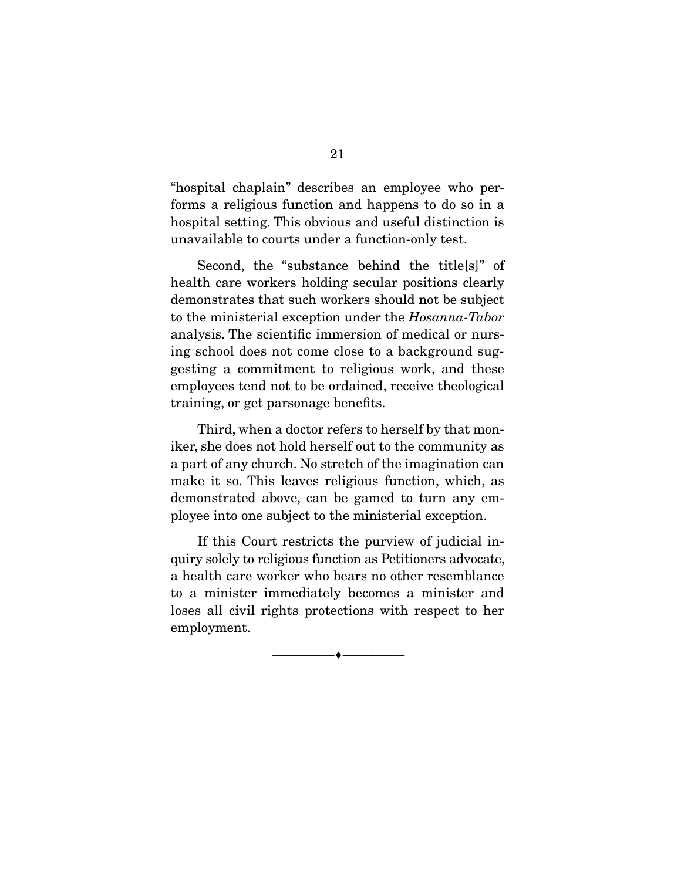"hospital chaplain" describes an employee who performs a religious function and happens to do so in a hospital setting. This obvious and useful distinction is unavailable to courts under a function-only test.

 Second, the "substance behind the title[s]" of health care workers holding secular positions clearly demonstrates that such workers should not be subject to the ministerial exception under the Hosanna-Tabor analysis. The scientific immersion of medical or nursing school does not come close to a background suggesting a commitment to religious work, and these employees tend not to be ordained, receive theological training, or get parsonage benefits.

 Third, when a doctor refers to herself by that moniker, she does not hold herself out to the community as a part of any church. No stretch of the imagination can make it so. This leaves religious function, which, as demonstrated above, can be gamed to turn any employee into one subject to the ministerial exception.

 If this Court restricts the purview of judicial inquiry solely to religious function as Petitioners advocate, a health care worker who bears no other resemblance to a minister immediately becomes a minister and loses all civil rights protections with respect to her employment.

--------------------------------- ♦ ---------------------------------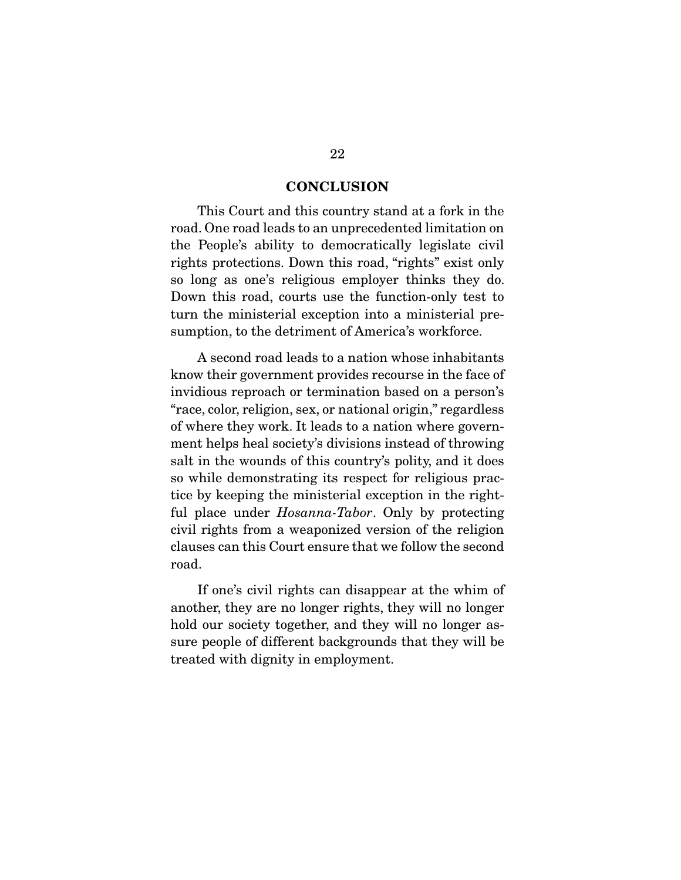#### **CONCLUSION**

 This Court and this country stand at a fork in the road. One road leads to an unprecedented limitation on the People's ability to democratically legislate civil rights protections. Down this road, "rights" exist only so long as one's religious employer thinks they do. Down this road, courts use the function-only test to turn the ministerial exception into a ministerial presumption, to the detriment of America's workforce.

 A second road leads to a nation whose inhabitants know their government provides recourse in the face of invidious reproach or termination based on a person's "race, color, religion, sex, or national origin," regardless of where they work. It leads to a nation where government helps heal society's divisions instead of throwing salt in the wounds of this country's polity, and it does so while demonstrating its respect for religious practice by keeping the ministerial exception in the rightful place under *Hosanna-Tabor*. Only by protecting civil rights from a weaponized version of the religion clauses can this Court ensure that we follow the second road.

 If one's civil rights can disappear at the whim of another, they are no longer rights, they will no longer hold our society together, and they will no longer assure people of different backgrounds that they will be treated with dignity in employment.